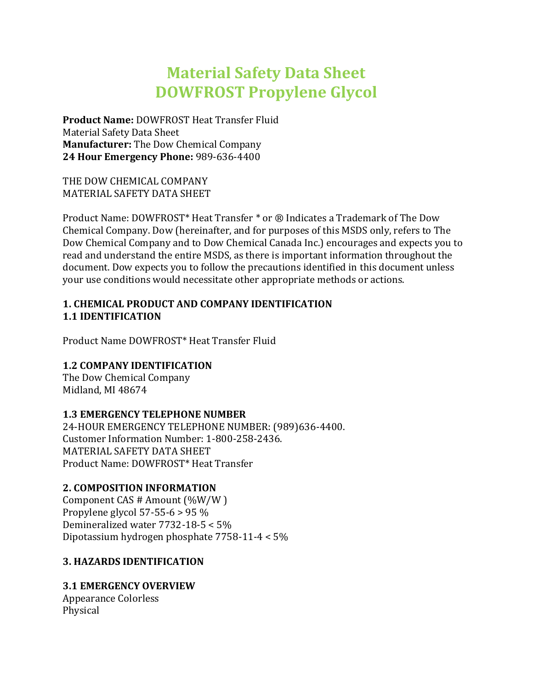# **Material Safety Data Sheet DOWFROST Propylene Glycol**

**Product Name:** DOWFROST Heat Transfer Fluid Material Safety Data Sheet **Manufacturer:** The Dow Chemical Company **24 Hour Emergency Phone:** 989-636-4400

THE DOW CHEMICAL COMPANY MATERIAL SAFETY DATA SHEET

Product Name: DOWFROST\* Heat Transfer \* or ® Indicates a Trademark of The Dow Chemical Company. Dow (hereinafter, and for purposes of this MSDS only, refers to The Dow Chemical Company and to Dow Chemical Canada Inc.) encourages and expects you to read and understand the entire MSDS, as there is important information throughout the document. Dow expects you to follow the precautions identified in this document unless your use conditions would necessitate other appropriate methods or actions.

#### **1. CHEMICAL PRODUCT AND COMPANY IDENTIFICATION 1.1 IDENTIFICATION**

Product Name DOWFROST\* Heat Transfer Fluid

## **1.2 COMPANY IDENTIFICATION**

The Dow Chemical Company Midland, MI 48674

## **1.3 EMERGENCY TELEPHONE NUMBER**

24-HOUR EMERGENCY TELEPHONE NUMBER: (989)636-4400. Customer Information Number: 1-800-258-2436. MATERIAL SAFETY DATA SHEET Product Name: DOWFROST\* Heat Transfer

## **2. COMPOSITION INFORMATION**

Component CAS # Amount (%W/W ) Propylene glycol 57-55-6 > 95 % Demineralized water 7732-18-5 < 5% Dipotassium hydrogen phosphate 7758-11-4 < 5%

## **3. HAZARDS IDENTIFICATION**

## **3.1 EMERGENCY OVERVIEW**

Appearance Colorless Physical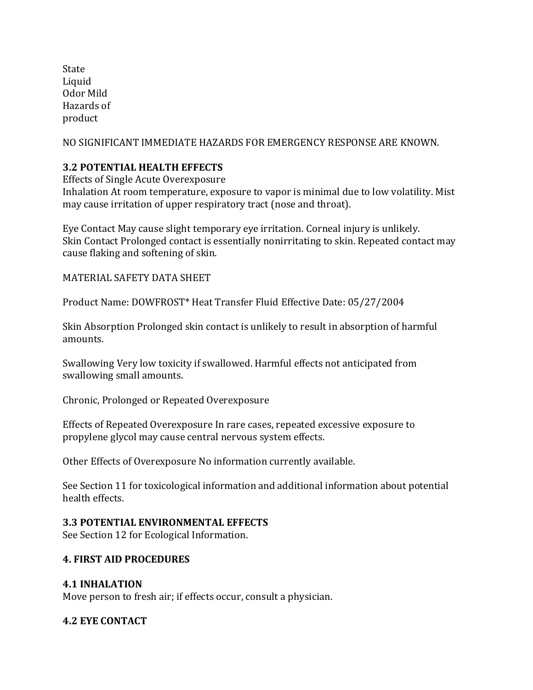State Liquid Odor Mild Hazards of product

NO SIGNIFICANT IMMEDIATE HAZARDS FOR EMERGENCY RESPONSE ARE KNOWN.

## **3.2 POTENTIAL HEALTH EFFECTS**

Effects of Single Acute Overexposure

Inhalation At room temperature, exposure to vapor is minimal due to low volatility. Mist may cause irritation of upper respiratory tract (nose and throat).

Eye Contact May cause slight temporary eye irritation. Corneal injury is unlikely. Skin Contact Prolonged contact is essentially nonirritating to skin. Repeated contact may cause flaking and softening of skin.

MATERIAL SAFETY DATA SHEET

Product Name: DOWFROST\* Heat Transfer Fluid Effective Date: 05/27/2004

Skin Absorption Prolonged skin contact is unlikely to result in absorption of harmful amounts.

Swallowing Very low toxicity if swallowed. Harmful effects not anticipated from swallowing small amounts.

Chronic, Prolonged or Repeated Overexposure

Effects of Repeated Overexposure In rare cases, repeated excessive exposure to propylene glycol may cause central nervous system effects.

Other Effects of Overexposure No information currently available.

See Section 11 for toxicological information and additional information about potential health effects.

#### **3.3 POTENTIAL ENVIRONMENTAL EFFECTS**

See Section 12 for Ecological Information.

#### **4. FIRST AID PROCEDURES**

#### **4.1 INHALATION**

Move person to fresh air; if effects occur, consult a physician.

## **4.2 EYE CONTACT**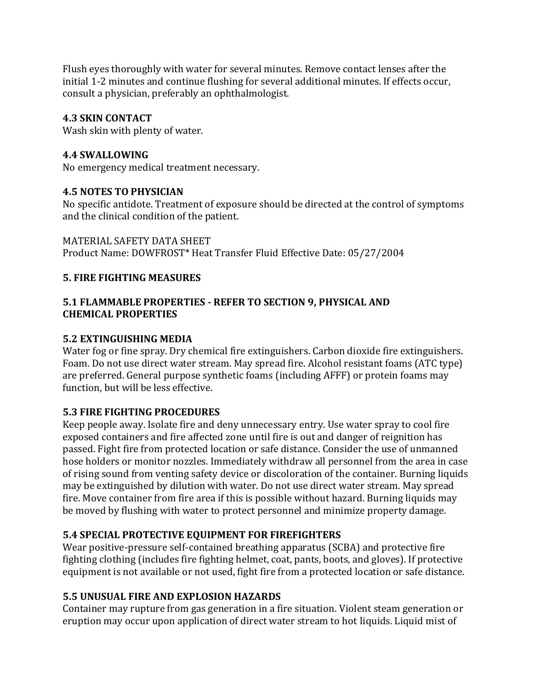Flush eyes thoroughly with water for several minutes. Remove contact lenses after the initial 1-2 minutes and continue flushing for several additional minutes. If effects occur, consult a physician, preferably an ophthalmologist.

#### **4.3 SKIN CONTACT**

Wash skin with plenty of water.

#### **4.4 SWALLOWING**

No emergency medical treatment necessary.

#### **4.5 NOTES TO PHYSICIAN**

No specific antidote. Treatment of exposure should be directed at the control of symptoms and the clinical condition of the patient.

MATERIAL SAFETY DATA SHEET Product Name: DOWFROST\* Heat Transfer Fluid Effective Date: 05/27/2004

#### **5. FIRE FIGHTING MEASURES**

#### **5.1 FLAMMABLE PROPERTIES - REFER TO SECTION 9, PHYSICAL AND CHEMICAL PROPERTIES**

#### **5.2 EXTINGUISHING MEDIA**

Water fog or fine spray. Dry chemical fire extinguishers. Carbon dioxide fire extinguishers. Foam. Do not use direct water stream. May spread fire. Alcohol resistant foams (ATC type) are preferred. General purpose synthetic foams (including AFFF) or protein foams may function, but will be less effective.

## **5.3 FIRE FIGHTING PROCEDURES**

Keep people away. Isolate fire and deny unnecessary entry. Use water spray to cool fire exposed containers and fire affected zone until fire is out and danger of reignition has passed. Fight fire from protected location or safe distance. Consider the use of unmanned hose holders or monitor nozzles. Immediately withdraw all personnel from the area in case of rising sound from venting safety device or discoloration of the container. Burning liquids may be extinguished by dilution with water. Do not use direct water stream. May spread fire. Move container from fire area if this is possible without hazard. Burning liquids may be moved by flushing with water to protect personnel and minimize property damage.

## **5.4 SPECIAL PROTECTIVE EQUIPMENT FOR FIREFIGHTERS**

Wear positive-pressure self-contained breathing apparatus (SCBA) and protective fire fighting clothing (includes fire fighting helmet, coat, pants, boots, and gloves). If protective equipment is not available or not used, fight fire from a protected location or safe distance.

## **5.5 UNUSUAL FIRE AND EXPLOSION HAZARDS**

Container may rupture from gas generation in a fire situation. Violent steam generation or eruption may occur upon application of direct water stream to hot liquids. Liquid mist of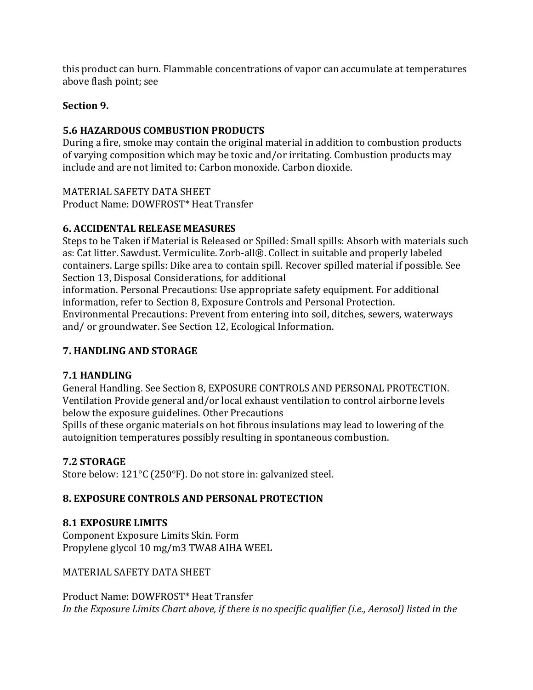this product can burn. Flammable concentrations of vapor can accumulate at temperatures above flash point; see

## **Section 9.**

## **5.6 HAZARDOUS COMBUSTION PRODUCTS**

During a fire, smoke may contain the original material in addition to combustion products of varying composition which may be toxic and/or irritating. Combustion products may include and are not limited to: Carbon monoxide. Carbon dioxide.

MATERIAL SAFETY DATA SHEET Product Name: DOWFROST\* Heat Transfer

## **6. ACCIDENTAL RELEASE MEASURES**

Steps to be Taken if Material is Released or Spilled: Small spills: Absorb with materials such as: Cat litter. Sawdust. Vermiculite. Zorb-all®. Collect in suitable and properly labeled containers. Large spills: Dike area to contain spill. Recover spilled material if possible. See Section 13, Disposal Considerations, for additional

information. Personal Precautions: Use appropriate safety equipment. For additional information, refer to Section 8, Exposure Controls and Personal Protection.

Environmental Precautions: Prevent from entering into soil, ditches, sewers, waterways and/ or groundwater. See Section 12, Ecological Information.

## **7. HANDLING AND STORAGE**

## **7.1 HANDLING**

General Handling. See Section 8, EXPOSURE CONTROLS AND PERSONAL PROTECTION. Ventilation Provide general and/or local exhaust ventilation to control airborne levels below the exposure guidelines. Other Precautions

Spills of these organic materials on hot fibrous insulations may lead to lowering of the autoignition temperatures possibly resulting in spontaneous combustion.

## **7.2 STORAGE**

Store below: 121°C (250°F). Do not store in: galvanized steel.

## **8. EXPOSURE CONTROLS AND PERSONAL PROTECTION**

## **8.1 EXPOSURE LIMITS**

Component Exposure Limits Skin. Form Propylene glycol 10 mg/m3 TWA8 AIHA WEEL

MATERIAL SAFETY DATA SHEET

Product Name: DOWFROST\* Heat Transfer *In the Exposure Limits Chart above, if there is no specific qualifier (i.e., Aerosol) listed in the*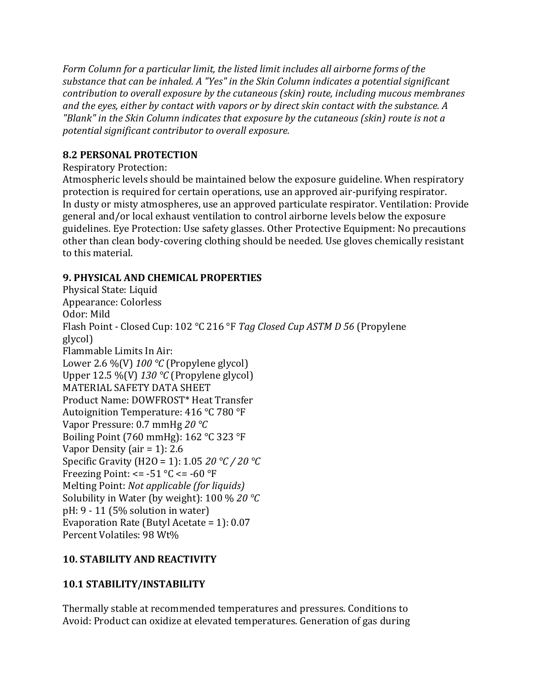*Form Column for a particular limit, the listed limit includes all airborne forms of the substance that can be inhaled. A "Yes" in the Skin Column indicates a potential significant contribution to overall exposure by the cutaneous (skin) route, including mucous membranes and the eyes, either by contact with vapors or by direct skin contact with the substance. A "Blank" in the Skin Column indicates that exposure by the cutaneous (skin) route is not a potential significant contributor to overall exposure.*

## **8.2 PERSONAL PROTECTION**

Respiratory Protection:

Atmospheric levels should be maintained below the exposure guideline. When respiratory protection is required for certain operations, use an approved air-purifying respirator. In dusty or misty atmospheres, use an approved particulate respirator. Ventilation: Provide general and/or local exhaust ventilation to control airborne levels below the exposure guidelines. Eye Protection: Use safety glasses. Other Protective Equipment: No precautions other than clean body-covering clothing should be needed. Use gloves chemically resistant to this material.

## **9. PHYSICAL AND CHEMICAL PROPERTIES**

Physical State: Liquid Appearance: Colorless Odor: Mild Flash Point - Closed Cup: 102 °C 216 °F *Tag Closed Cup ASTM D 56* (Propylene glycol) Flammable Limits In Air: Lower 2.6 %(V) *100 °C* (Propylene glycol) Upper 12.5 %(V) *130 °C* (Propylene glycol) MATERIAL SAFETY DATA SHEET Product Name: DOWFROST\* Heat Transfer Autoignition Temperature: 416 °C 780 °F Vapor Pressure: 0.7 mmHg *20 °C* Boiling Point (760 mmHg): 162 °C 323 °F Vapor Density (air = 1): 2.6 Specific Gravity (H2O = 1): 1.05 *20 °C / 20 °C* Freezing Point:  $\le$  = -51 °C  $\le$  = -60 °F Melting Point: *Not applicable (for liquids)* Solubility in Water (by weight): 100 % *20 °C* pH: 9 - 11 (5% solution in water) Evaporation Rate (Butyl Acetate = 1): 0.07 Percent Volatiles: 98 Wt%

## **10. STABILITY AND REACTIVITY**

## **10.1 STABILITY/INSTABILITY**

Thermally stable at recommended temperatures and pressures. Conditions to Avoid: Product can oxidize at elevated temperatures. Generation of gas during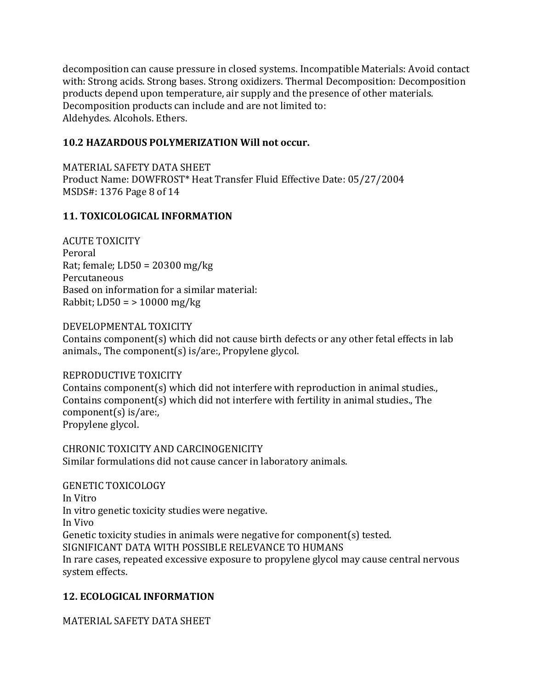decomposition can cause pressure in closed systems. Incompatible Materials: Avoid contact with: Strong acids. Strong bases. Strong oxidizers. Thermal Decomposition: Decomposition products depend upon temperature, air supply and the presence of other materials. Decomposition products can include and are not limited to: Aldehydes. Alcohols. Ethers.

#### **10.2 HAZARDOUS POLYMERIZATION Will not occur.**

MATERIAL SAFETY DATA SHEET Product Name: DOWFROST\* Heat Transfer Fluid Effective Date: 05/27/2004 MSDS#: 1376 Page 8 of 14

## **11. TOXICOLOGICAL INFORMATION**

ACUTE TOXICITY Peroral Rat; female; LD50 = 20300 mg/kg Percutaneous Based on information for a similar material: Rabbit;  $LD50 = > 10000$  mg/kg

#### DEVELOPMENTAL TOXICITY

Contains component(s) which did not cause birth defects or any other fetal effects in lab animals., The component(s) is/are:, Propylene glycol.

## REPRODUCTIVE TOXICITY

Contains component(s) which did not interfere with reproduction in animal studies., Contains component(s) which did not interfere with fertility in animal studies., The component(s) is/are:, Propylene glycol.

CHRONIC TOXICITY AND CARCINOGENICITY Similar formulations did not cause cancer in laboratory animals.

GENETIC TOXICOLOGY In Vitro In vitro genetic toxicity studies were negative. In Vivo Genetic toxicity studies in animals were negative for component(s) tested. SIGNIFICANT DATA WITH POSSIBLE RELEVANCE TO HUMANS In rare cases, repeated excessive exposure to propylene glycol may cause central nervous system effects.

# **12. ECOLOGICAL INFORMATION**

MATERIAL SAFETY DATA SHEET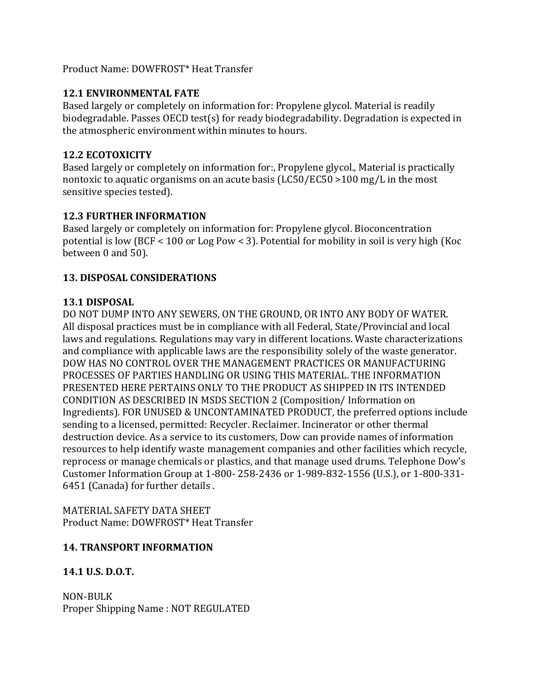#### Product Name: DOWFROST\* Heat Transfer

## **12.1 ENVIRONMENTAL FATE**

Based largely or completely on information for: Propylene glycol. Material is readily biodegradable. Passes OECD test(s) for ready biodegradability. Degradation is expected in the atmospheric environment within minutes to hours.

## **12.2 ECOTOXICITY**

Based largely or completely on information for:, Propylene glycol., Material is practically nontoxic to aquatic organisms on an acute basis (LC50/EC50 >100 mg/L in the most sensitive species tested).

## **12.3 FURTHER INFORMATION**

Based largely or completely on information for: Propylene glycol. Bioconcentration potential is low (BCF < 100 or Log Pow < 3). Potential for mobility in soil is very high (Koc between 0 and 50).

## **13. DISPOSAL CONSIDERATIONS**

## **13.1 DISPOSAL**

DO NOT DUMP INTO ANY SEWERS, ON THE GROUND, OR INTO ANY BODY OF WATER. All disposal practices must be in compliance with all Federal, State/Provincial and local laws and regulations. Regulations may vary in different locations. Waste characterizations and compliance with applicable laws are the responsibility solely of the waste generator. DOW HAS NO CONTROL OVER THE MANAGEMENT PRACTICES OR MANUFACTURING PROCESSES OF PARTIES HANDLING OR USING THIS MATERIAL. THE INFORMATION PRESENTED HERE PERTAINS ONLY TO THE PRODUCT AS SHIPPED IN ITS INTENDED CONDITION AS DESCRIBED IN MSDS SECTION 2 (Composition/ Information on Ingredients). FOR UNUSED & UNCONTAMINATED PRODUCT, the preferred options include sending to a licensed, permitted: Recycler. Reclaimer. Incinerator or other thermal destruction device. As a service to its customers, Dow can provide names of information resources to help identify waste management companies and other facilities which recycle, reprocess or manage chemicals or plastics, and that manage used drums. Telephone Dow's Customer Information Group at 1-800- 258-2436 or 1-989-832-1556 (U.S.), or 1-800-331- 6451 (Canada) for further details .

MATERIAL SAFETY DATA SHEET Product Name: DOWFROST\* Heat Transfer

# **14. TRANSPORT INFORMATION**

# **14.1 U.S. D.O.T.**

NON-BULK Proper Shipping Name : NOT REGULATED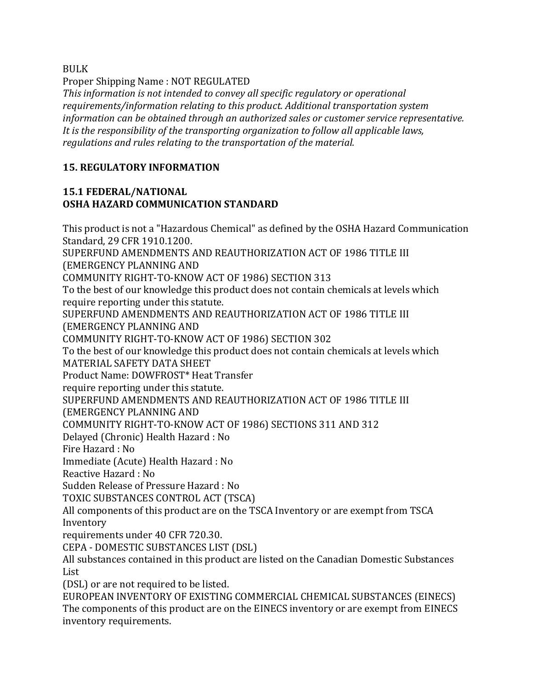BULK

Proper Shipping Name : NOT REGULATED

*This information is not intended to convey all specific regulatory or operational requirements/information relating to this product. Additional transportation system information can be obtained through an authorized sales or customer service representative. It is the responsibility of the transporting organization to follow all applicable laws, regulations and rules relating to the transportation of the material.*

#### **15. REGULATORY INFORMATION**

inventory requirements.

#### **15.1 FEDERAL/NATIONAL OSHA HAZARD COMMUNICATION STANDARD**

This product is not a "Hazardous Chemical" as defined by the OSHA Hazard Communication Standard, 29 CFR 1910.1200. SUPERFUND AMENDMENTS AND REAUTHORIZATION ACT OF 1986 TITLE III (EMERGENCY PLANNING AND COMMUNITY RIGHT-TO-KNOW ACT OF 1986) SECTION 313 To the best of our knowledge this product does not contain chemicals at levels which require reporting under this statute. SUPERFUND AMENDMENTS AND REAUTHORIZATION ACT OF 1986 TITLE III (EMERGENCY PLANNING AND COMMUNITY RIGHT-TO-KNOW ACT OF 1986) SECTION 302 To the best of our knowledge this product does not contain chemicals at levels which MATERIAL SAFETY DATA SHEET Product Name: DOWFROST\* Heat Transfer require reporting under this statute. SUPERFUND AMENDMENTS AND REAUTHORIZATION ACT OF 1986 TITLE III (EMERGENCY PLANNING AND COMMUNITY RIGHT-TO-KNOW ACT OF 1986) SECTIONS 311 AND 312 Delayed (Chronic) Health Hazard : No Fire Hazard : No Immediate (Acute) Health Hazard : No Reactive Hazard : No Sudden Release of Pressure Hazard : No TOXIC SUBSTANCES CONTROL ACT (TSCA) All components of this product are on the TSCA Inventory or are exempt from TSCA Inventory requirements under 40 CFR 720.30. CEPA - DOMESTIC SUBSTANCES LIST (DSL) All substances contained in this product are listed on the Canadian Domestic Substances List (DSL) or are not required to be listed. EUROPEAN INVENTORY OF EXISTING COMMERCIAL CHEMICAL SUBSTANCES (EINECS) The components of this product are on the EINECS inventory or are exempt from EINECS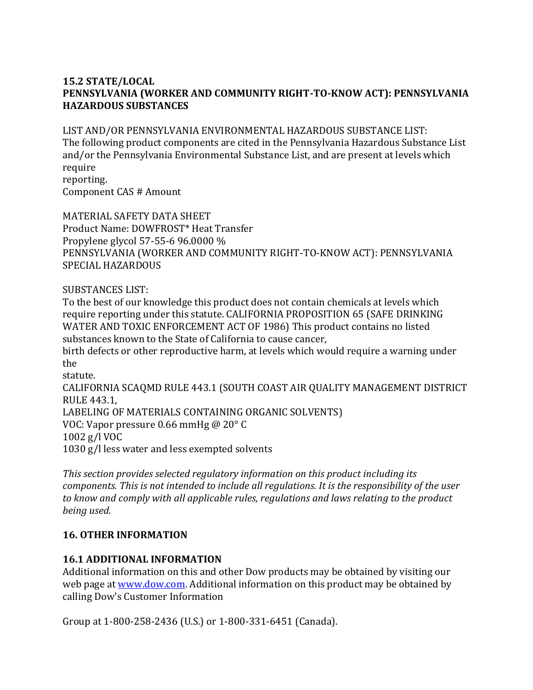#### **15.2 STATE/LOCAL PENNSYLVANIA (WORKER AND COMMUNITY RIGHT-TO-KNOW ACT): PENNSYLVANIA HAZARDOUS SUBSTANCES**

#### LIST AND/OR PENNSYLVANIA ENVIRONMENTAL HAZARDOUS SUBSTANCE LIST:

The following product components are cited in the Pennsylvania Hazardous Substance List and/or the Pennsylvania Environmental Substance List, and are present at levels which require reporting.

Component CAS # Amount

MATERIAL SAFETY DATA SHEET Product Name: DOWFROST\* Heat Transfer Propylene glycol 57-55-6 96.0000 % PENNSYLVANIA (WORKER AND COMMUNITY RIGHT-TO-KNOW ACT): PENNSYLVANIA SPECIAL HAZARDOUS

SUBSTANCES LIST:

To the best of our knowledge this product does not contain chemicals at levels which require reporting under this statute. CALIFORNIA PROPOSITION 65 (SAFE DRINKING WATER AND TOXIC ENFORCEMENT ACT OF 1986) This product contains no listed substances known to the State of California to cause cancer,

birth defects or other reproductive harm, at levels which would require a warning under the

statute.

CALIFORNIA SCAQMD RULE 443.1 (SOUTH COAST AIR QUALITY MANAGEMENT DISTRICT RULE 443.1, LABELING OF MATERIALS CONTAINING ORGANIC SOLVENTS) VOC: Vapor pressure 0.66 mmHg @ 20° C 1002 g/l VOC 1030 g/l less water and less exempted solvents

*This section provides selected regulatory information on this product including its components. This is not intended to include all regulations. It is the responsibility of the user to know and comply with all applicable rules, regulations and laws relating to the product being used.*

#### **16. OTHER INFORMATION**

#### **16.1 ADDITIONAL INFORMATION**

Additional information on this and other Dow products may be obtained by visiting our web page at [www.dow.com.](http://www.dow.com/) Additional information on this product may be obtained by calling Dow's Customer Information

Group at 1-800-258-2436 (U.S.) or 1-800-331-6451 (Canada).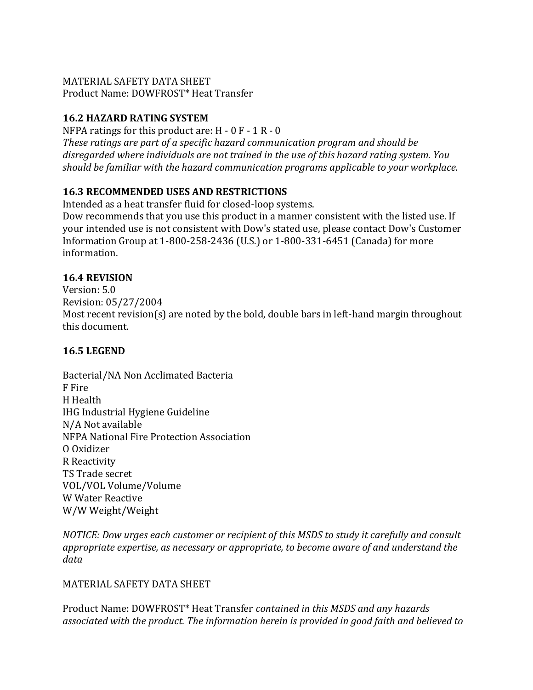# MATERIAL SAFETY DATA SHEET

Product Name: DOWFROST\* Heat Transfer

# **16.2 HAZARD RATING SYSTEM**

NFPA ratings for this product are:  $H - 0F - 1R - 0$ 

*These ratings are part of a specific hazard communication program and should be disregarded where individuals are not trained in the use of this hazard rating system. You should be familiar with the hazard communication programs applicable to your workplace.*

# **16.3 RECOMMENDED USES AND RESTRICTIONS**

Intended as a heat transfer fluid for closed-loop systems.

Dow recommends that you use this product in a manner consistent with the listed use. If your intended use is not consistent with Dow's stated use, please contact Dow's Customer Information Group at 1-800-258-2436 (U.S.) or 1-800-331-6451 (Canada) for more information.

# **16.4 REVISION**

Version: 5.0 Revision: 05/27/2004 Most recent revision(s) are noted by the bold, double bars in left-hand margin throughout this document.

# **16.5 LEGEND**

Bacterial/NA Non Acclimated Bacteria F Fire H Health IHG Industrial Hygiene Guideline N/A Not available NFPA National Fire Protection Association O Oxidizer R Reactivity TS Trade secret VOL/VOL Volume/Volume W Water Reactive W/W Weight/Weight

*NOTICE: Dow urges each customer or recipient of this MSDS to study it carefully and consult appropriate expertise, as necessary or appropriate, to become aware of and understand the data*

# MATERIAL SAFETY DATA SHEET

Product Name: DOWFROST\* Heat Transfer *contained in this MSDS and any hazards associated with the product. The information herein is provided in good faith and believed to*